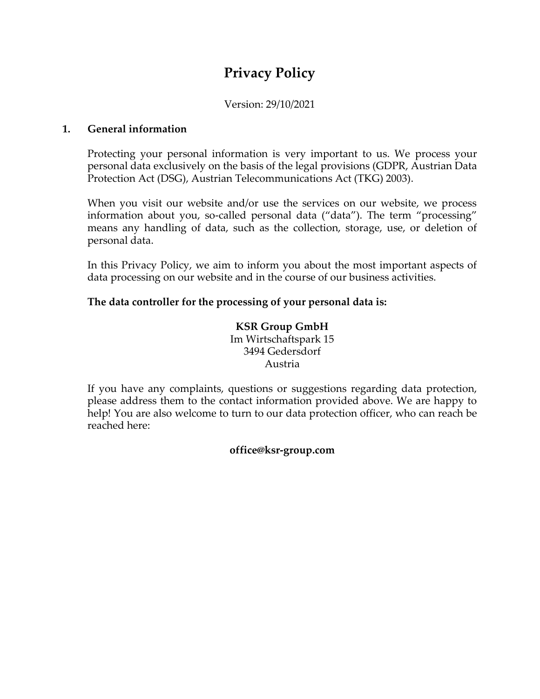# **Privacy Policy**

## Version: 29/10/2021

#### **1. General information**

Protecting your personal information is very important to us. We process your personal data exclusively on the basis of the legal provisions (GDPR, Austrian Data Protection Act (DSG), Austrian Telecommunications Act (TKG) 2003).

When you visit our website and/or use the services on our website, we process information about you, so-called personal data ("data"). The term "processing" means any handling of data, such as the collection, storage, use, or deletion of personal data.

In this Privacy Policy, we aim to inform you about the most important aspects of data processing on our website and in the course of our business activities.

#### **The data controller for the processing of your personal data is:**

#### **KSR Group GmbH** Im Wirtschaftspark 15 3494 Gedersdorf Austria

If you have any complaints, questions or suggestions regarding data protection, please address them to the contact information provided above. We are happy to help! You are also welcome to turn to our data protection officer, who can reach be reached here:

#### **office@ksr-group.com**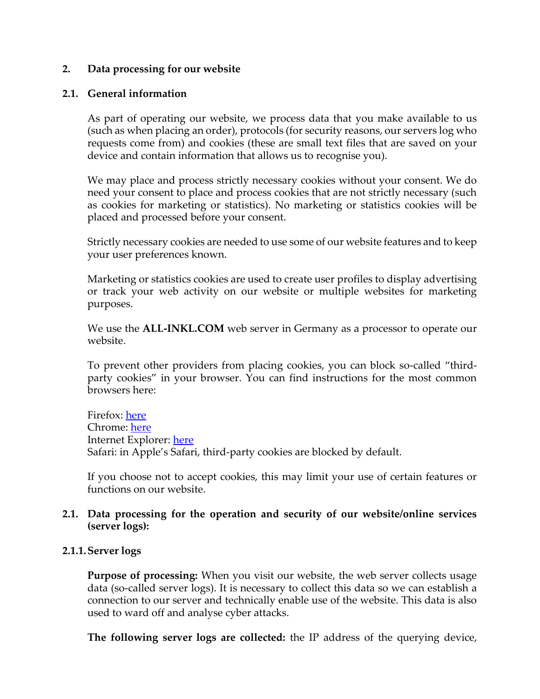#### **2. Data processing for our website**

#### **2.1. General information**

As part of operating our website, we process data that you make available to us (such as when placing an order), protocols (for security reasons, our servers log who requests come from) and cookies (these are small text files that are saved on your device and contain information that allows us to recognise you).

We may place and process strictly necessary cookies without your consent. We do need your consent to place and process cookies that are not strictly necessary (such as cookies for marketing or statistics). No marketing or statistics cookies will be placed and processed before your consent.

Strictly necessary cookies are needed to use some of our website features and to keep your user preferences known.

Marketing or statistics cookies are used to create user profiles to display advertising or track your web activity on our website or multiple websites for marketing purposes.

We use the **ALL-INKL.COM** web server in Germany as a processor to operate our website.

To prevent other providers from placing cookies, you can block so-called "thirdparty cookies" in your browser. You can find instructions for the most common browsers here:

Firefox: [here](https://support.mozilla.org/de/kb/erste-schritte-mit-firefox) Chrome: [here](https://support.google.com/chrome/?hl=de#topic=3227046) Internet Explorer: [here](https://support.microsoft.com/de-de/products/internet-explorer) Safari: in Apple's Safari, third-party cookies are blocked by default.

If you choose not to accept cookies, this may limit your use of certain features or functions on our website.

#### **2.1. Data processing for the operation and security of our website/online services (server logs):**

#### **2.1.1.Server logs**

**Purpose of processing:** When you visit our website, the web server collects usage data (so-called server logs). It is necessary to collect this data so we can establish a connection to our server and technically enable use of the website. This data is also used to ward off and analyse cyber attacks.

**The following server logs are collected:** the IP address of the querying device,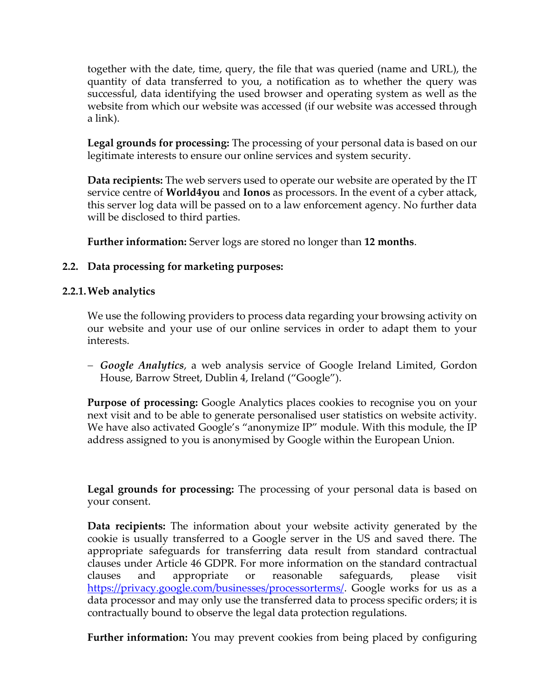together with the date, time, query, the file that was queried (name and URL), the quantity of data transferred to you, a notification as to whether the query was successful, data identifying the used browser and operating system as well as the website from which our website was accessed (if our website was accessed through a link).

**Legal grounds for processing:** The processing of your personal data is based on our legitimate interests to ensure our online services and system security.

**Data recipients:** The web servers used to operate our website are operated by the IT service centre of **World4you** and **Ionos** as processors. In the event of a cyber attack, this server log data will be passed on to a law enforcement agency. No further data will be disclosed to third parties.

**Further information:** Server logs are stored no longer than **12 months**.

# **2.2. Data processing for marketing purposes:**

## **2.2.1.Web analytics**

We use the following providers to process data regarding your browsing activity on our website and your use of our online services in order to adapt them to your interests.

− *Google Analytics*, a web analysis service of Google Ireland Limited, Gordon House, Barrow Street, Dublin 4, Ireland ("Google").

**Purpose of processing:** Google Analytics places cookies to recognise you on your next visit and to be able to generate personalised user statistics on website activity. We have also activated Google's "anonymize IP" module. With this module, the IP address assigned to you is anonymised by Google within the European Union.

**Legal grounds for processing:** The processing of your personal data is based on your consent.

**Data recipients:** The information about your website activity generated by the cookie is usually transferred to a Google server in the US and saved there. The appropriate safeguards for transferring data result from standard contractual clauses under Article 46 GDPR. For more information on the standard contractual clauses and appropriate or reasonable safeguards, please visit [https://privacy.google.com/businesses/processorterms/.](https://privacy.google.com/businesses/processorterms/) Google works for us as a data processor and may only use the transferred data to process specific orders; it is contractually bound to observe the legal data protection regulations.

**Further information:** You may prevent cookies from being placed by configuring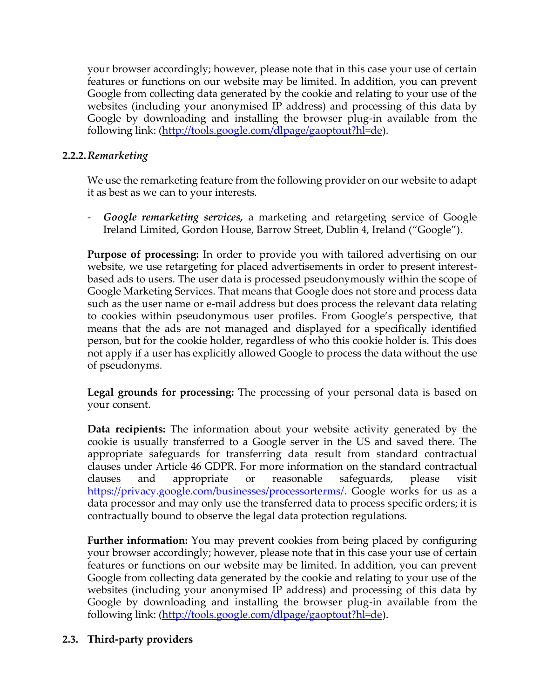your browser accordingly; however, please note that in this case your use of certain features or functions on our website may be limited. In addition, you can prevent Google from collecting data generated by the cookie and relating to your use of the websites (including your anonymised IP address) and processing of this data by Google by downloading and installing the browser plug-in available from the following link: [\(http://tools.google.com/dlpage/gaoptout?hl=de\)](http://tools.google.com/dlpage/gaoptout?hl=de).

# **2.2.2.***Remarketing*

We use the remarketing feature from the following provider on our website to adapt it as best as we can to your interests.

- *Google remarketing services,* a marketing and retargeting service of Google Ireland Limited, Gordon House, Barrow Street, Dublin 4, Ireland ("Google").

**Purpose of processing:** In order to provide you with tailored advertising on our website, we use retargeting for placed advertisements in order to present interestbased ads to users. The user data is processed pseudonymously within the scope of Google Marketing Services. That means that Google does not store and process data such as the user name or e-mail address but does process the relevant data relating to cookies within pseudonymous user profiles. From Google's perspective, that means that the ads are not managed and displayed for a specifically identified person, but for the cookie holder, regardless of who this cookie holder is. This does not apply if a user has explicitly allowed Google to process the data without the use of pseudonyms.

**Legal grounds for processing:** The processing of your personal data is based on your consent.

**Data recipients:** The information about your website activity generated by the cookie is usually transferred to a Google server in the US and saved there. The appropriate safeguards for transferring data result from standard contractual clauses under Article 46 GDPR. For more information on the standard contractual clauses and appropriate or reasonable safeguards, please visit [https://privacy.google.com/businesses/processorterms/.](https://privacy.google.com/businesses/processorterms/) Google works for us as a data processor and may only use the transferred data to process specific orders; it is contractually bound to observe the legal data protection regulations.

**Further information:** You may prevent cookies from being placed by configuring your browser accordingly; however, please note that in this case your use of certain features or functions on our website may be limited. In addition, you can prevent Google from collecting data generated by the cookie and relating to your use of the websites (including your anonymised IP address) and processing of this data by Google by downloading and installing the browser plug-in available from the following link: [\(http://tools.google.com/dlpage/gaoptout?hl=de\)](http://tools.google.com/dlpage/gaoptout?hl=de).

# **2.3. Third-party providers**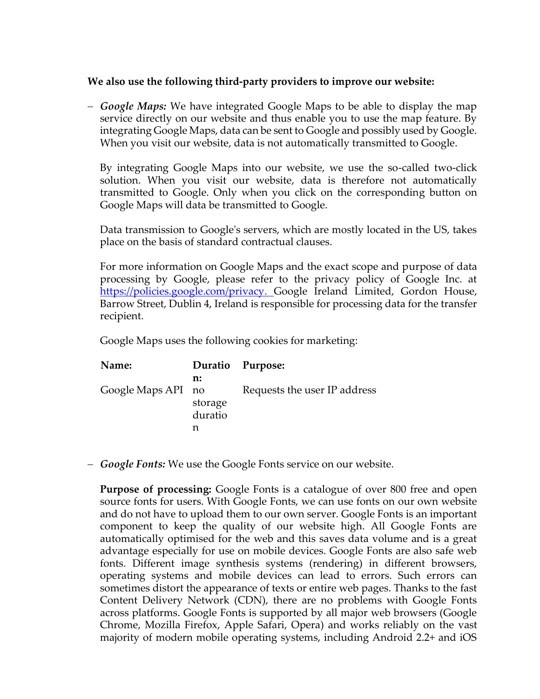#### **We also use the following third-party providers to improve our website:**

− *Google Maps:* We have integrated Google Maps to be able to display the map service directly on our website and thus enable you to use the map feature. By integrating Google Maps, data can be sent to Google and possibly used by Google. When you visit our website, data is not automatically transmitted to Google.

By integrating Google Maps into our website, we use the so-called two-click solution. When you visit our website, data is therefore not automatically transmitted to Google. Only when you click on the corresponding button on Google Maps will data be transmitted to Google.

Data transmission to Google's servers, which are mostly located in the US, takes place on the basis of standard contractual clauses.

For more information on Google Maps and the exact scope and purpose of data processing by Google, please refer to the privacy policy of Google Inc. at [https://policies.google.com/privacy.](https://policies.google.com/privacy) Google Ireland Limited, Gordon House, Barrow Street, Dublin 4, Ireland is responsible for processing data for the transfer recipient.

Google Maps uses the following cookies for marketing:

| Name:              |                          | Duratio Purpose:             |
|--------------------|--------------------------|------------------------------|
| Google Maps API no | n:<br>storage<br>duratio | Requests the user IP address |

− *Google Fonts:* We use the Google Fonts service on our website.

**Purpose of processing:** Google Fonts is a catalogue of over 800 free and open source fonts for users. With Google Fonts, we can use fonts on our own website and do not have to upload them to our own server. Google Fonts is an important component to keep the quality of our website high. All Google Fonts are automatically optimised for the web and this saves data volume and is a great advantage especially for use on mobile devices. Google Fonts are also safe web fonts. Different image synthesis systems (rendering) in different browsers, operating systems and mobile devices can lead to errors. Such errors can sometimes distort the appearance of texts or entire web pages. Thanks to the fast Content Delivery Network (CDN), there are no problems with Google Fonts across platforms. Google Fonts is supported by all major web browsers (Google Chrome, Mozilla Firefox, Apple Safari, Opera) and works reliably on the vast majority of modern mobile operating systems, including Android 2.2+ and iOS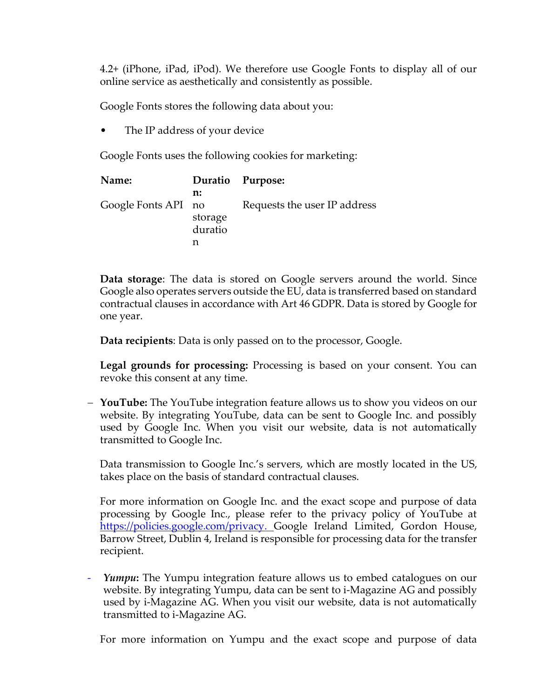4.2+ (iPhone, iPad, iPod). We therefore use Google Fonts to display all of our online service as aesthetically and consistently as possible.

Google Fonts stores the following data about you:

The IP address of your device

Google Fonts uses the following cookies for marketing:

| Name:               |                    | Duratio Purpose:             |
|---------------------|--------------------|------------------------------|
|                     | n:                 |                              |
| Google Fonts API no | storage<br>duratio | Requests the user IP address |
|                     |                    |                              |

**Data storage**: The data is stored on Google servers around the world. Since Google also operates servers outside the EU, data is transferred based on standard contractual clauses in accordance with Art 46 GDPR. Data is stored by Google for one year.

**Data recipients**: Data is only passed on to the processor, Google.

**Legal grounds for processing:** Processing is based on your consent. You can revoke this consent at any time.

− **YouTube:** The YouTube integration feature allows us to show you videos on our website. By integrating YouTube, data can be sent to Google Inc. and possibly used by Google Inc. When you visit our website, data is not automatically transmitted to Google Inc.

Data transmission to Google Inc.'s servers, which are mostly located in the US, takes place on the basis of standard contractual clauses.

For more information on Google Inc. and the exact scope and purpose of data processing by Google Inc., please refer to the privacy policy of YouTube at [https://policies.google.com/privacy.](https://policies.google.com/privacy) Google Ireland Limited, Gordon House, Barrow Street, Dublin 4, Ireland is responsible for processing data for the transfer recipient.

- *Yumpu***:** The Yumpu integration feature allows us to embed catalogues on our website. By integrating Yumpu, data can be sent to i-Magazine AG and possibly used by i-Magazine AG. When you visit our website, data is not automatically transmitted to i-Magazine AG.

For more information on Yumpu and the exact scope and purpose of data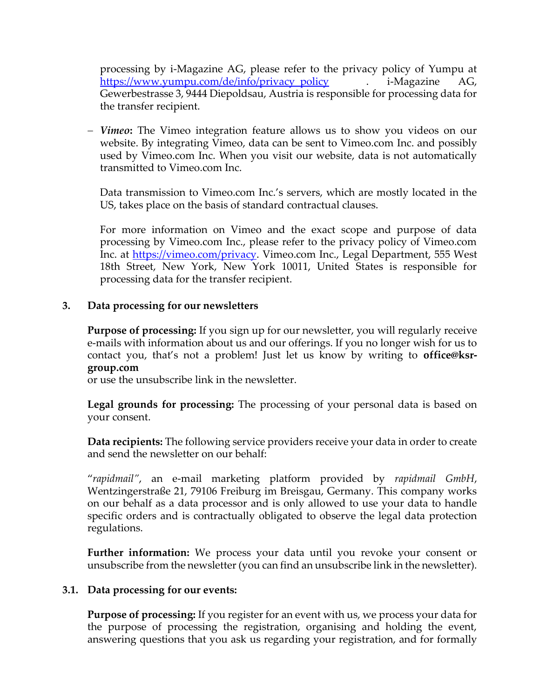processing by i-Magazine AG, please refer to the privacy policy of Yumpu at [https://www.yumpu.com/de/info/privacy\\_policy](https://www.yumpu.com/de/info/privacy_policy) . i-Magazine AG, Gewerbestrasse 3, 9444 Diepoldsau, Austria is responsible for processing data for the transfer recipient.

− *Vimeo***:** The Vimeo integration feature allows us to show you videos on our website. By integrating Vimeo, data can be sent to Vimeo.com Inc. and possibly used by Vimeo.com Inc. When you visit our website, data is not automatically transmitted to Vimeo.com Inc.

Data transmission to Vimeo.com Inc.'s servers, which are mostly located in the US, takes place on the basis of standard contractual clauses.

For more information on Vimeo and the exact scope and purpose of data processing by Vimeo.com Inc., please refer to the privacy policy of Vimeo.com Inc. at [https://vimeo.com/privacy.](https://vimeo.com/privacy) Vimeo.com Inc., Legal Department, 555 West 18th Street, New York, New York 10011, United States is responsible for processing data for the transfer recipient.

#### **3. Data processing for our newsletters**

**Purpose of processing:** If you sign up for our newsletter, you will regularly receive e-mails with information about us and our offerings. If you no longer wish for us to contact you, that's not a problem! Just let us know by writing to **office@ksrgroup.com**

or use the unsubscribe link in the newsletter.

**Legal grounds for processing:** The processing of your personal data is based on your consent.

**Data recipients:** The following service providers receive your data in order to create and send the newsletter on our behalf:

"*rapidmail"*, an e-mail marketing platform provided by *rapidmail GmbH*, Wentzingerstraße 21, 79106 Freiburg im Breisgau, Germany. This company works on our behalf as a data processor and is only allowed to use your data to handle specific orders and is contractually obligated to observe the legal data protection regulations.

**Further information:** We process your data until you revoke your consent or unsubscribe from the newsletter (you can find an unsubscribe link in the newsletter).

#### **3.1. Data processing for our events:**

**Purpose of processing:** If you register for an event with us, we process your data for the purpose of processing the registration, organising and holding the event, answering questions that you ask us regarding your registration, and for formally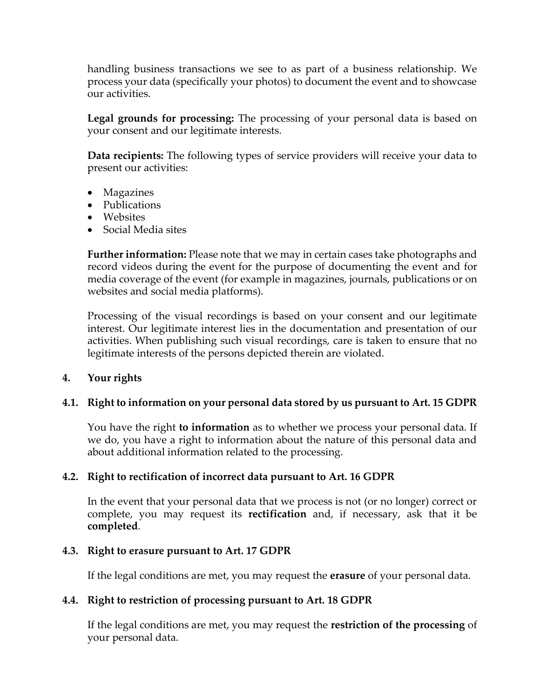handling business transactions we see to as part of a business relationship. We process your data (specifically your photos) to document the event and to showcase our activities.

**Legal grounds for processing:** The processing of your personal data is based on your consent and our legitimate interests.

**Data recipients:** The following types of service providers will receive your data to present our activities:

- Magazines
- Publications
- Websites
- Social Media sites

**Further information:** Please note that we may in certain cases take photographs and record videos during the event for the purpose of documenting the event and for media coverage of the event (for example in magazines, journals, publications or on websites and social media platforms).

Processing of the visual recordings is based on your consent and our legitimate interest. Our legitimate interest lies in the documentation and presentation of our activities. When publishing such visual recordings, care is taken to ensure that no legitimate interests of the persons depicted therein are violated.

#### **4. Your rights**

# **4.1. Right to information on your personal data stored by us pursuant to Art. 15 GDPR**

You have the right **to information** as to whether we process your personal data. If we do, you have a right to information about the nature of this personal data and about additional information related to the processing.

#### **4.2. Right to rectification of incorrect data pursuant to Art. 16 GDPR**

In the event that your personal data that we process is not (or no longer) correct or complete, you may request its **rectification** and, if necessary, ask that it be **completed**.

#### **4.3. Right to erasure pursuant to Art. 17 GDPR**

If the legal conditions are met, you may request the **erasure** of your personal data.

#### **4.4. Right to restriction of processing pursuant to Art. 18 GDPR**

If the legal conditions are met, you may request the **restriction of the processing** of your personal data.